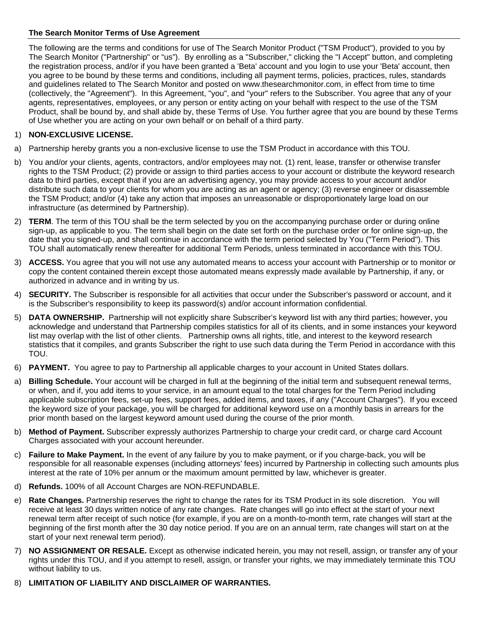## **The Search Monitor Terms of Use Agreement**

The following are the terms and conditions for use of The Search Monitor Product ("TSM Product"), provided to you by The Search Monitor ("Partnership" or "us"). By enrolling as a "Subscriber," clicking the "I Accept" button, and completing the registration process, and/or if you have been granted a 'Beta' account and you login to use your 'Beta' account, then you agree to be bound by these terms and conditions, including all payment terms, policies, practices, rules, standards and guidelines related to The Search Monitor and posted on www.thesearchmonitor.com, in effect from time to time (collectively, the "Agreement"). In this Agreement, "you", and "your" refers to the Subscriber. You agree that any of your agents, representatives, employees, or any person or entity acting on your behalf with respect to the use of the TSM Product, shall be bound by, and shall abide by, these Terms of Use. You further agree that you are bound by these Terms of Use whether you are acting on your own behalf or on behalf of a third party.

# 1) **NON-EXCLUSIVE LICENSE.**

- a) Partnership hereby grants you a non-exclusive license to use the TSM Product in accordance with this TOU.
- b) You and/or your clients, agents, contractors, and/or employees may not. (1) rent, lease, transfer or otherwise transfer rights to the TSM Product; (2) provide or assign to third parties access to your account or distribute the keyword research data to third parties, except that if you are an advertising agency, you may provide access to your account and/or distribute such data to your clients for whom you are acting as an agent or agency; (3) reverse engineer or disassemble the TSM Product; and/or (4) take any action that imposes an unreasonable or disproportionately large load on our infrastructure (as determined by Partnership).
- 2) **TERM**. The term of this TOU shall be the term selected by you on the accompanying purchase order or during online sign-up, as applicable to you. The term shall begin on the date set forth on the purchase order or for online sign-up, the date that you signed-up, and shall continue in accordance with the term period selected by You ("Term Period"). This TOU shall automatically renew thereafter for additional Term Periods, unless terminated in accordance with this TOU.
- 3) **ACCESS.** You agree that you will not use any automated means to access your account with Partnership or to monitor or copy the content contained therein except those automated means expressly made available by Partnership, if any, or authorized in advance and in writing by us.
- 4) **SECURITY.** The Subscriber is responsible for all activities that occur under the Subscriber's password or account, and it is the Subscriber's responsibility to keep its password(s) and/or account information confidential.
- 5) **DATA OWNERSHIP.** Partnership will not explicitly share Subscriber's keyword list with any third parties; however, you acknowledge and understand that Partnership compiles statistics for all of its clients, and in some instances your keyword list may overlap with the list of other clients. Partnership owns all rights, title, and interest to the keyword research statistics that it compiles, and grants Subscriber the right to use such data during the Term Period in accordance with this TOU.
- 6) **PAYMENT.** You agree to pay to Partnership all applicable charges to your account in United States dollars.
- a) **Billing Schedule.** Your account will be charged in full at the beginning of the initial term and subsequent renewal terms, or when, and if, you add items to your service, in an amount equal to the total charges for the Term Period including applicable subscription fees, set-up fees, support fees, added items, and taxes, if any ("Account Charges"). If you exceed the keyword size of your package, you will be charged for additional keyword use on a monthly basis in arrears for the prior month based on the largest keyword amount used during the course of the prior month.
- b) **Method of Payment.** Subscriber expressly authorizes Partnership to charge your credit card, or charge card Account Charges associated with your account hereunder.
- c) **Failure to Make Payment.** In the event of any failure by you to make payment, or if you charge-back, you will be responsible for all reasonable expenses (including attorneys' fees) incurred by Partnership in collecting such amounts plus interest at the rate of 10% per annum or the maximum amount permitted by law, whichever is greater.
- d) **Refunds.** 100% of all Account Charges are NON-REFUNDABLE.
- e) **Rate Changes.** Partnership reserves the right to change the rates for its TSM Product in its sole discretion. You will receive at least 30 days written notice of any rate changes. Rate changes will go into effect at the start of your next renewal term after receipt of such notice (for example, if you are on a month-to-month term, rate changes will start at the beginning of the first month after the 30 day notice period. If you are on an annual term, rate changes will start on at the start of your next renewal term period).
- 7) **NO ASSIGNMENT OR RESALE.** Except as otherwise indicated herein, you may not resell, assign, or transfer any of your rights under this TOU, and if you attempt to resell, assign, or transfer your rights, we may immediately terminate this TOU without liability to us.
- 8) **LIMITATION OF LIABILITY AND DISCLAIMER OF WARRANTIES.**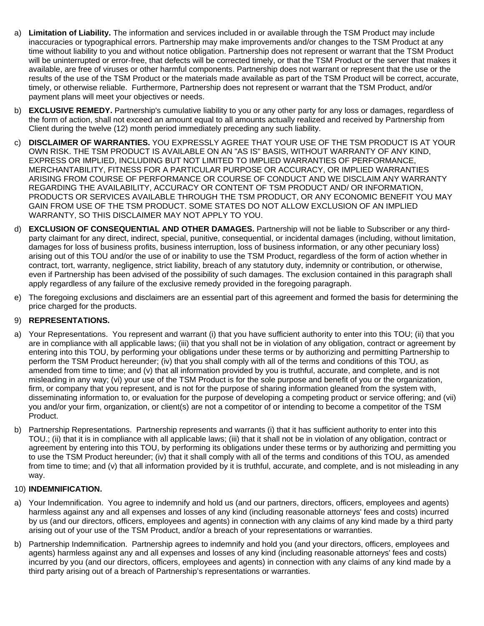- a) **Limitation of Liability.** The information and services included in or available through the TSM Product may include inaccuracies or typographical errors. Partnership may make improvements and/or changes to the TSM Product at any time without liability to you and without notice obligation. Partnership does not represent or warrant that the TSM Product will be uninterrupted or error-free, that defects will be corrected timely, or that the TSM Product or the server that makes it available, are free of viruses or other harmful components. Partnership does not warrant or represent that the use or the results of the use of the TSM Product or the materials made available as part of the TSM Product will be correct, accurate, timely, or otherwise reliable. Furthermore, Partnership does not represent or warrant that the TSM Product, and/or payment plans will meet your objectives or needs.
- b) **EXCLUSIVE REMEDY.** Partnership's cumulative liability to you or any other party for any loss or damages, regardless of the form of action, shall not exceed an amount equal to all amounts actually realized and received by Partnership from Client during the twelve (12) month period immediately preceding any such liability.
- c) **DISCLAIMER OF WARRANTIES.** YOU EXPRESSLY AGREE THAT YOUR USE OF THE TSM PRODUCT IS AT YOUR OWN RISK. THE TSM PRODUCT IS AVAILABLE ON AN "AS IS" BASIS, WITHOUT WARRANTY OF ANY KIND, EXPRESS OR IMPLIED, INCLUDING BUT NOT LIMITED TO IMPLIED WARRANTIES OF PERFORMANCE, MERCHANTABILITY, FITNESS FOR A PARTICULAR PURPOSE OR ACCURACY, OR IMPLIED WARRANTIES ARISING FROM COURSE OF PERFORMANCE OR COURSE OF CONDUCT AND WE DISCLAIM ANY WARRANTY REGARDING THE AVAILABILITY, ACCURACY OR CONTENT OF TSM PRODUCT AND/ OR INFORMATION, PRODUCTS OR SERVICES AVAILABLE THROUGH THE TSM PRODUCT, OR ANY ECONOMIC BENEFIT YOU MAY GAIN FROM USE OF THE TSM PRODUCT. SOME STATES DO NOT ALLOW EXCLUSION OF AN IMPLIED WARRANTY, SO THIS DISCLAIMER MAY NOT APPLY TO YOU.
- d) **EXCLUSION OF CONSEQUENTIAL AND OTHER DAMAGES.** Partnership will not be liable to Subscriber or any thirdparty claimant for any direct, indirect, special, punitive, consequential, or incidental damages (including, without limitation, damages for loss of business profits, business interruption, loss of business information, or any other pecuniary loss) arising out of this TOU and/or the use of or inability to use the TSM Product, regardless of the form of action whether in contract, tort, warranty, negligence, strict liability, breach of any statutory duty, indemnity or contribution, or otherwise, even if Partnership has been advised of the possibility of such damages. The exclusion contained in this paragraph shall apply regardless of any failure of the exclusive remedy provided in the foregoing paragraph.
- e) The foregoing exclusions and disclaimers are an essential part of this agreement and formed the basis for determining the price charged for the products.

## 9) **REPRESENTATIONS.**

- a) Your Representations. You represent and warrant (i) that you have sufficient authority to enter into this TOU; (ii) that you are in compliance with all applicable laws; (iii) that you shall not be in violation of any obligation, contract or agreement by entering into this TOU, by performing your obligations under these terms or by authorizing and permitting Partnership to perform the TSM Product hereunder; (iv) that you shall comply with all of the terms and conditions of this TOU, as amended from time to time; and (v) that all information provided by you is truthful, accurate, and complete, and is not misleading in any way; (vi) your use of the TSM Product is for the sole purpose and benefit of you or the organization, firm, or company that you represent, and is not for the purpose of sharing information gleaned from the system with, disseminating information to, or evaluation for the purpose of developing a competing product or service offering; and (vii) you and/or your firm, organization, or client(s) are not a competitor of or intending to become a competitor of the TSM Product.
- b) Partnership Representations. Partnership represents and warrants (i) that it has sufficient authority to enter into this TOU.; (ii) that it is in compliance with all applicable laws; (iii) that it shall not be in violation of any obligation, contract or agreement by entering into this TOU, by performing its obligations under these terms or by authorizing and permitting you to use the TSM Product hereunder; (iv) that it shall comply with all of the terms and conditions of this TOU, as amended from time to time; and (v) that all information provided by it is truthful, accurate, and complete, and is not misleading in any way.

#### 10) **INDEMNIFICATION.**

- a) Your Indemnification. You agree to indemnify and hold us (and our partners, directors, officers, employees and agents) harmless against any and all expenses and losses of any kind (including reasonable attorneys' fees and costs) incurred by us (and our directors, officers, employees and agents) in connection with any claims of any kind made by a third party arising out of your use of the TSM Product, and/or a breach of your representations or warranties.
- b) Partnership Indemnification. Partnership agrees to indemnify and hold you (and your directors, officers, employees and agents) harmless against any and all expenses and losses of any kind (including reasonable attorneys' fees and costs) incurred by you (and our directors, officers, employees and agents) in connection with any claims of any kind made by a third party arising out of a breach of Partnership's representations or warranties.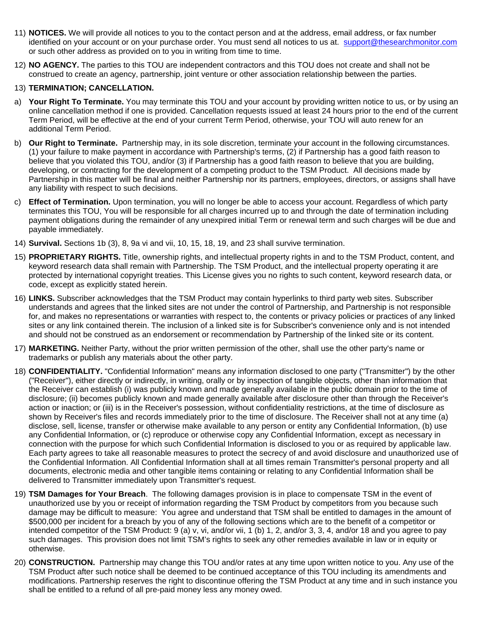- 11) **NOTICES.** We will provide all notices to you to the contact person and at the address, email address, or fax number identified on your account or on your purchase order. You must send all notices to us at[. support@thesearchmonitor.com](mailto:support@thesearchmonitor.com) or such other address as provided on to you in writing from time to time.
- 12) **NO AGENCY.** The parties to this TOU are independent contractors and this TOU does not create and shall not be construed to create an agency, partnership, joint venture or other association relationship between the parties.

#### 13) **TERMINATION; CANCELLATION.**

- a) **Your Right To Terminate.** You may terminate this TOU and your account by providing written notice to us, or by using an online cancellation method if one is provided. Cancellation requests issued at least 24 hours prior to the end of the current Term Period, will be effective at the end of your current Term Period, otherwise, your TOU will auto renew for an additional Term Period.
- b) **Our Right to Terminate.** Partnership may, in its sole discretion, terminate your account in the following circumstances. (1) your failure to make payment in accordance with Partnership's terms, (2) if Partnership has a good faith reason to believe that you violated this TOU, and/or (3) if Partnership has a good faith reason to believe that you are building, developing, or contracting for the development of a competing product to the TSM Product. All decisions made by Partnership in this matter will be final and neither Partnership nor its partners, employees, directors, or assigns shall have any liability with respect to such decisions.
- c) **Effect of Termination.** Upon termination, you will no longer be able to access your account. Regardless of which party terminates this TOU, You will be responsible for all charges incurred up to and through the date of termination including payment obligations during the remainder of any unexpired initial Term or renewal term and such charges will be due and payable immediately.
- 14) **Survival.** Sections 1b (3), 8, 9a vi and vii, 10, 15, 18, 19, and 23 shall survive termination.
- 15) **PROPRIETARY RIGHTS.** Title, ownership rights, and intellectual property rights in and to the TSM Product, content, and keyword research data shall remain with Partnership. The TSM Product, and the intellectual property operating it are protected by international copyright treaties. This License gives you no rights to such content, keyword research data, or code, except as explicitly stated herein.
- 16) **LINKS.** Subscriber acknowledges that the TSM Product may contain hyperlinks to third party web sites. Subscriber understands and agrees that the linked sites are not under the control of Partnership, and Partnership is not responsible for, and makes no representations or warranties with respect to, the contents or privacy policies or practices of any linked sites or any link contained therein. The inclusion of a linked site is for Subscriber's convenience only and is not intended and should not be construed as an endorsement or recommendation by Partnership of the linked site or its content.
- 17) **MARKETING.** Neither Party, without the prior written permission of the other, shall use the other party's name or trademarks or publish any materials about the other party.
- 18) **CONFIDENTIALITY.** "Confidential Information" means any information disclosed to one party ("Transmitter") by the other ("Receiver"), either directly or indirectly, in writing, orally or by inspection of tangible objects, other than information that the Receiver can establish (i) was publicly known and made generally available in the public domain prior to the time of disclosure; (ii) becomes publicly known and made generally available after disclosure other than through the Receiver's action or inaction; or (iii) is in the Receiver's possession, without confidentiality restrictions, at the time of disclosure as shown by Receiver's files and records immediately prior to the time of disclosure. The Receiver shall not at any time (a) disclose, sell, license, transfer or otherwise make available to any person or entity any Confidential Information, (b) use any Confidential Information, or (c) reproduce or otherwise copy any Confidential Information, except as necessary in connection with the purpose for which such Confidential Information is disclosed to you or as required by applicable law. Each party agrees to take all reasonable measures to protect the secrecy of and avoid disclosure and unauthorized use of the Confidential Information. All Confidential Information shall at all times remain Transmitter's personal property and all documents, electronic media and other tangible items containing or relating to any Confidential Information shall be delivered to Transmitter immediately upon Transmitter's request.
- 19) **TSM Damages for Your Breach**. The following damages provision is in place to compensate TSM in the event of unauthorized use by you or receipt of information regarding the TSM Product by competitors from you because such damage may be difficult to measure: You agree and understand that TSM shall be entitled to damages in the amount of \$500,000 per incident for a breach by you of any of the following sections which are to the benefit of a competitor or intended competitor of the TSM Product: 9 (a) v, vi, and/or vii, 1 (b) 1, 2, and/or 3, 3, 4, and/or 18 and you agree to pay such damages. This provision does not limit TSM's rights to seek any other remedies available in law or in equity or otherwise.
- 20) **CONSTRUCTION.** Partnership may change this TOU and/or rates at any time upon written notice to you. Any use of the TSM Product after such notice shall be deemed to be continued acceptance of this TOU including its amendments and modifications. Partnership reserves the right to discontinue offering the TSM Product at any time and in such instance you shall be entitled to a refund of all pre-paid money less any money owed.